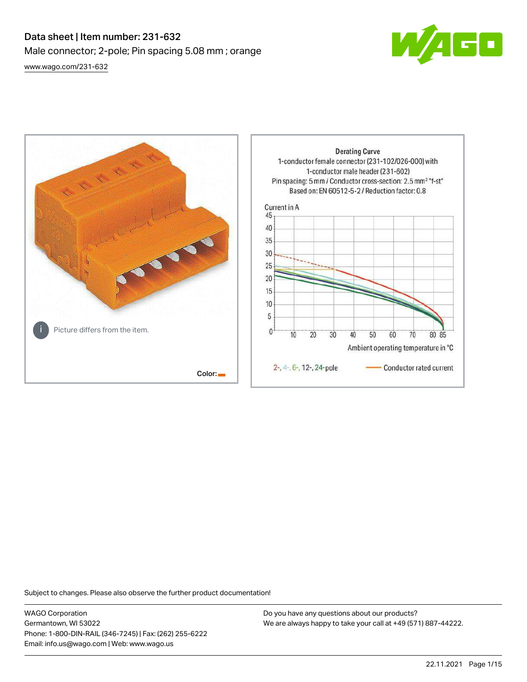# Data sheet | Item number: 231-632 Male connector; 2-pole; Pin spacing 5.08 mm ; orange [www.wago.com/231-632](http://www.wago.com/231-632)





Subject to changes. Please also observe the further product documentation!

WAGO Corporation Germantown, WI 53022 Phone: 1-800-DIN-RAIL (346-7245) | Fax: (262) 255-6222 Email: info.us@wago.com | Web: www.wago.us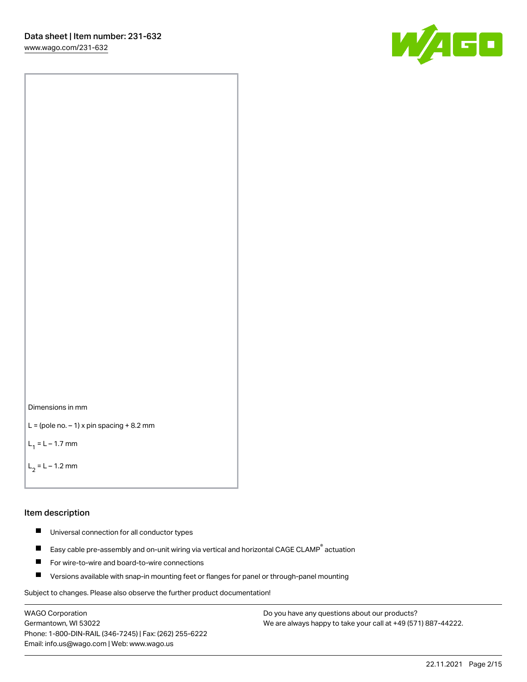[www.wago.com/231-632](http://www.wago.com/231-632)



Dimensions in mm

```
L = (pole no. -1) x pin spacing +8.2 mm
```
 $L_1 = L - 1.7$  mm

 $L_2 = L - 1.2$  mm

#### Item description

- $\blacksquare$ Universal connection for all conductor types
- Easy cable pre-assembly and on-unit wiring via vertical and horizontal CAGE CLAMP<sup>®</sup> actuation  $\blacksquare$
- П For wire-to-wire and board-to-wire connections
- $\blacksquare$ Versions available with snap-in mounting feet or flanges for panel or through-panel mounting

Subject to changes. Please also observe the further product documentation!

WAGO Corporation Germantown, WI 53022 Phone: 1-800-DIN-RAIL (346-7245) | Fax: (262) 255-6222 Email: info.us@wago.com | Web: www.wago.us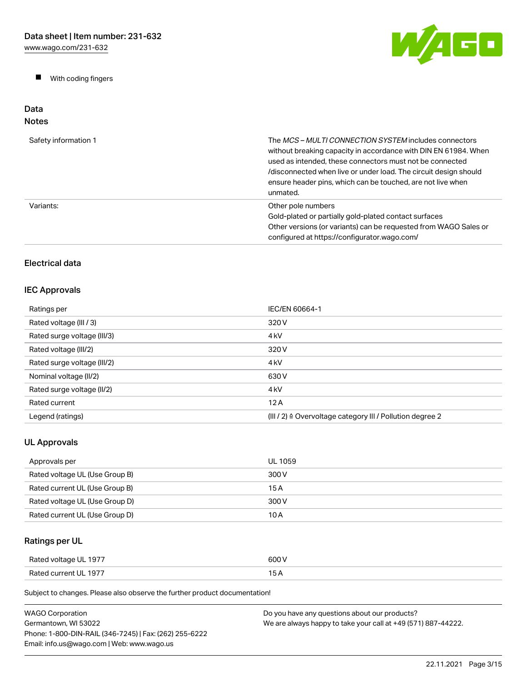$\blacksquare$ With coding fingers



#### Data Notes

| Safety information 1 | The MCS-MULTI CONNECTION SYSTEM includes connectors<br>without breaking capacity in accordance with DIN EN 61984. When<br>used as intended, these connectors must not be connected<br>/disconnected when live or under load. The circuit design should<br>ensure header pins, which can be touched, are not live when<br>unmated. |
|----------------------|-----------------------------------------------------------------------------------------------------------------------------------------------------------------------------------------------------------------------------------------------------------------------------------------------------------------------------------|
| Variants:            | Other pole numbers<br>Gold-plated or partially gold-plated contact surfaces<br>Other versions (or variants) can be requested from WAGO Sales or<br>configured at https://configurator.wago.com/                                                                                                                                   |

# Electrical data

# IEC Approvals

| Ratings per                 | IEC/EN 60664-1                                                       |
|-----------------------------|----------------------------------------------------------------------|
| Rated voltage (III / 3)     | 320 V                                                                |
| Rated surge voltage (III/3) | 4 <sub>kV</sub>                                                      |
| Rated voltage (III/2)       | 320 V                                                                |
| Rated surge voltage (III/2) | 4 <sub>k</sub> V                                                     |
| Nominal voltage (II/2)      | 630 V                                                                |
| Rated surge voltage (II/2)  | 4 <sub>k</sub> V                                                     |
| Rated current               | 12A                                                                  |
| Legend (ratings)            | (III / 2) $\triangleq$ Overvoltage category III / Pollution degree 2 |

# UL Approvals

| Approvals per                  | UL 1059 |
|--------------------------------|---------|
| Rated voltage UL (Use Group B) | 300 V   |
| Rated current UL (Use Group B) | 15 A    |
| Rated voltage UL (Use Group D) | 300 V   |
| Rated current UL (Use Group D) | 10 A    |

# Ratings per UL

| Rated voltage UL 1977 | 600 V |
|-----------------------|-------|
| Rated current UL 1977 | .     |

Subject to changes. Please also observe the further product documentation!

| <b>WAGO Corporation</b>                                | Do you have any questions about our products?                 |
|--------------------------------------------------------|---------------------------------------------------------------|
| Germantown. WI 53022                                   | We are always happy to take your call at +49 (571) 887-44222. |
| Phone: 1-800-DIN-RAIL (346-7245)   Fax: (262) 255-6222 |                                                               |
| Email: info.us@wago.com   Web: www.wago.us             |                                                               |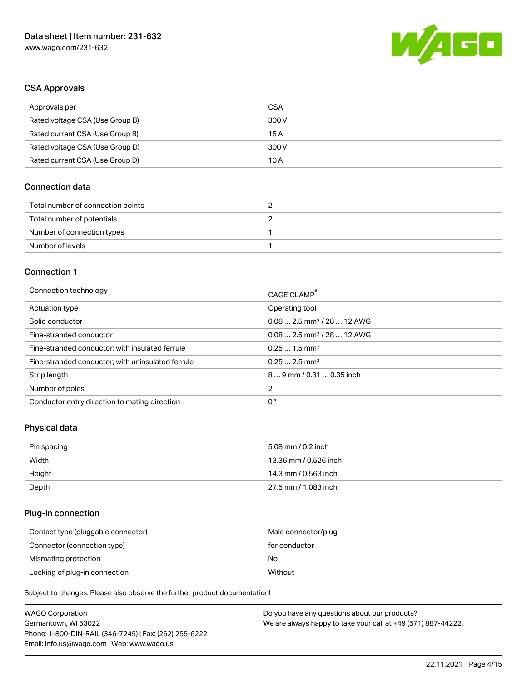

# CSA Approvals

| Approvals per                   | CSA   |
|---------------------------------|-------|
| Rated voltage CSA (Use Group B) | 300 V |
| Rated current CSA (Use Group B) | 15 A  |
| Rated voltage CSA (Use Group D) | 300 V |
| Rated current CSA (Use Group D) | 10 A  |

# Connection data

| Total number of connection points |  |
|-----------------------------------|--|
| Total number of potentials        |  |
| Number of connection types        |  |
| Number of levels                  |  |

#### Connection 1

| Connection technology                             | CAGE CLAMP®                            |
|---------------------------------------------------|----------------------------------------|
| Actuation type                                    | Operating tool                         |
| Solid conductor                                   | $0.082.5$ mm <sup>2</sup> / 28  12 AWG |
| Fine-stranded conductor                           | $0.082.5$ mm <sup>2</sup> / 28  12 AWG |
| Fine-stranded conductor; with insulated ferrule   | $0.251.5$ mm <sup>2</sup>              |
| Fine-stranded conductor; with uninsulated ferrule | $0.252.5$ mm <sup>2</sup>              |
| Strip length                                      | $89$ mm / 0.31  0.35 inch              |
| Number of poles                                   | 2                                      |
| Conductor entry direction to mating direction     | 0°                                     |

# Physical data

| Pin spacing | 5.08 mm / 0.2 inch    |
|-------------|-----------------------|
| Width       | 13.36 mm / 0.526 inch |
| Height      | 14.3 mm / 0.563 inch  |
| Depth       | 27.5 mm / 1.083 inch  |

## Plug-in connection

| Contact type (pluggable connector) | Male connector/plug |
|------------------------------------|---------------------|
| Connector (connection type)        | for conductor       |
| Mismating protection               | No                  |
| Locking of plug-in connection      | Without             |

Subject to changes. Please also observe the further product documentation!

| <b>WAGO Corporation</b>                                | Do you have any questions about our products?                 |
|--------------------------------------------------------|---------------------------------------------------------------|
| Germantown, WI 53022                                   | We are always happy to take your call at +49 (571) 887-44222. |
| Phone: 1-800-DIN-RAIL (346-7245)   Fax: (262) 255-6222 |                                                               |
| Email: info.us@wago.com   Web: www.wago.us             |                                                               |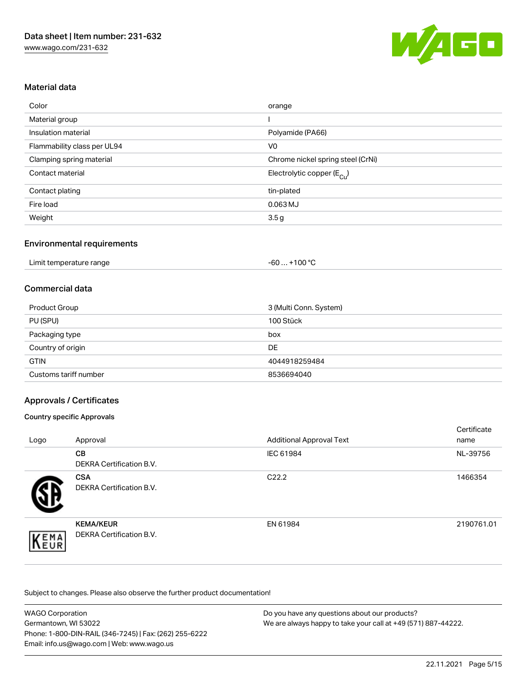

# Material data

| Color                       | orange                                |
|-----------------------------|---------------------------------------|
| Material group              |                                       |
| Insulation material         | Polyamide (PA66)                      |
| Flammability class per UL94 | V <sub>0</sub>                        |
| Clamping spring material    | Chrome nickel spring steel (CrNi)     |
| Contact material            | Electrolytic copper $(E_{\text{Cl}})$ |
| Contact plating             | tin-plated                            |
| Fire load                   | 0.063 MJ                              |
| Weight                      | 3.5 <sub>g</sub>                      |

## Environmental requirements

| Limit temperature range | +100 $^{\circ}$ C<br>-60  - |  |
|-------------------------|-----------------------------|--|
|-------------------------|-----------------------------|--|

## Commercial data

| <b>Product Group</b>  | 3 (Multi Conn. System) |
|-----------------------|------------------------|
| PU (SPU)              | 100 Stück              |
| Packaging type        | box                    |
| Country of origin     | <b>DE</b>              |
| <b>GTIN</b>           | 4044918259484          |
| Customs tariff number | 8536694040             |

## Approvals / Certificates

#### Country specific Approvals

| Logo | Approval                                     | <b>Additional Approval Text</b> | Certificate<br>name |
|------|----------------------------------------------|---------------------------------|---------------------|
|      | <b>CB</b><br><b>DEKRA Certification B.V.</b> | IEC 61984                       | NL-39756            |
|      | <b>CSA</b><br>DEKRA Certification B.V.       | C <sub>22.2</sub>               | 1466354             |
| EMA  | <b>KEMA/KEUR</b><br>DEKRA Certification B.V. | EN 61984                        | 2190761.01          |

Subject to changes. Please also observe the further product documentation!

| <b>WAGO Corporation</b>                                | Do you have any questions about our products?                 |
|--------------------------------------------------------|---------------------------------------------------------------|
| Germantown, WI 53022                                   | We are always happy to take your call at +49 (571) 887-44222. |
| Phone: 1-800-DIN-RAIL (346-7245)   Fax: (262) 255-6222 |                                                               |
| Email: info.us@wago.com   Web: www.wago.us             |                                                               |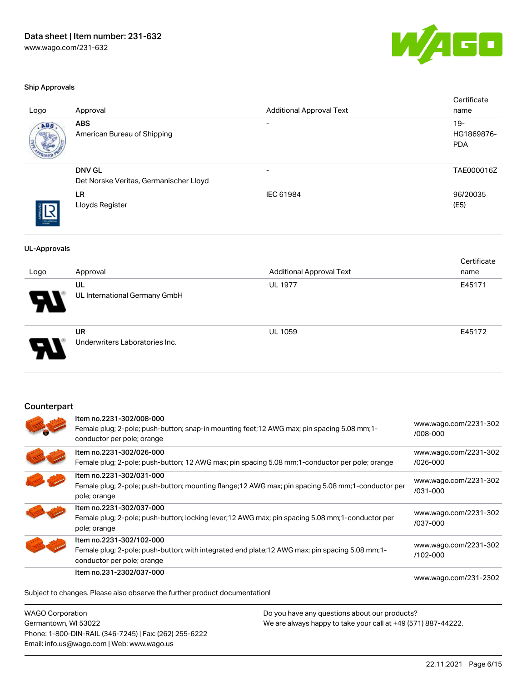

#### Ship Approvals

| Logo                | Approval                                                | <b>Additional Approval Text</b>                                                                     | Certificate<br>name               |
|---------------------|---------------------------------------------------------|-----------------------------------------------------------------------------------------------------|-----------------------------------|
| AB S                | <b>ABS</b><br>American Bureau of Shipping               |                                                                                                     | $19-$<br>HG1869876-<br><b>PDA</b> |
|                     | <b>DNV GL</b><br>Det Norske Veritas, Germanischer Lloyd | $\overline{\phantom{a}}$                                                                            | TAE000016Z                        |
|                     | LR.<br>Lloyds Register                                  | IEC 61984                                                                                           | 96/20035<br>(E5)                  |
| <b>UL-Approvals</b> |                                                         |                                                                                                     |                                   |
| Logo                | Approval                                                | <b>Additional Approval Text</b>                                                                     | Certificate<br>name               |
|                     | UL<br>UL International Germany GmbH                     | <b>UL 1977</b>                                                                                      | E45171                            |
|                     | <b>UR</b><br>Underwriters Laboratories Inc.             | <b>UL 1059</b>                                                                                      | E45172                            |
| Counterpart         |                                                         |                                                                                                     |                                   |
|                     | Item no.2231-302/008-000<br>conductor per pole; orange  | Female plug; 2-pole; push-button; snap-in mounting feet; 12 AWG max; pin spacing 5.08 mm; 1-        | www.wago.com/2231-302<br>/008-000 |
|                     | Item no.2231-302/026-000                                | Female plug; 2-pole; push-button; 12 AWG max; pin spacing 5.08 mm; 1-conductor per pole; orange     | www.wago.com/2231-302<br>/026-000 |
|                     | Item no.2231-302/031-000<br>pole; orange                | Female plug; 2-pole; push-button; mounting flange; 12 AWG max; pin spacing 5.08 mm; 1-conductor per | www.wago.com/2231-302<br>/031-000 |
|                     | Item no.2231-302/037-000<br>pole; orange                | Female plug; 2-pole; push-button; locking lever; 12 AWG max; pin spacing 5.08 mm; 1-conductor per   | www.wago.com/2231-302<br>/037-000 |
|                     | Item no.2231-302/102-000                                |                                                                                                     |                                   |

Female plug; 2-pole; push-button; with integrated end plate;12 AWG max; pin spacing 5.08 mm;1-

conductor per pole; orange Item no.231-2302/037-000

[www.wago.com/231-2302](https://www.wago.com/231-2302/037-000)

[www.wago.com/2231-302](https://www.wago.com/2231-302/102-000)

[/102-000](https://www.wago.com/2231-302/102-000)

Subject to changes. Please also observe the further product documentation!

WAGO Corporation Germantown, WI 53022 Phone: 1-800-DIN-RAIL (346-7245) | Fax: (262) 255-6222 Email: info.us@wago.com | Web: www.wago.us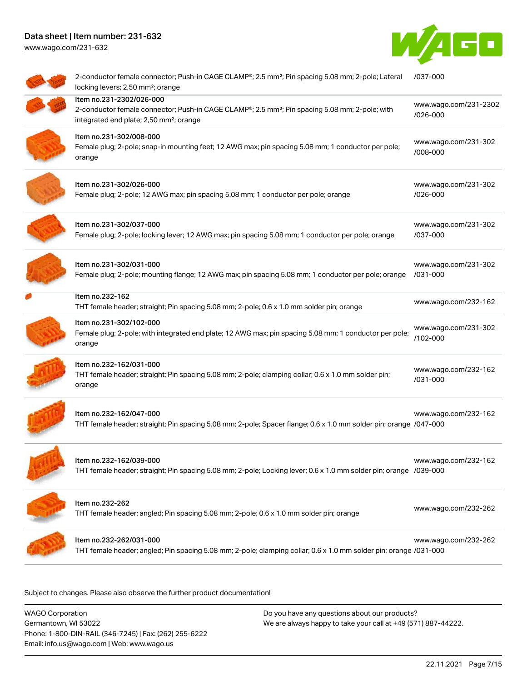[www.wago.com/231-632](http://www.wago.com/231-632)



| 2-conductor female connector; Push-in CAGE CLAMP®; 2.5 mm <sup>2</sup> ; Pin spacing 5.08 mm; 2-pole; Lateral<br>locking levers; 2,50 mm <sup>2</sup> ; orange                                | /037-000                          |
|-----------------------------------------------------------------------------------------------------------------------------------------------------------------------------------------------|-----------------------------------|
| Item no.231-2302/026-000<br>2-conductor female connector; Push-in CAGE CLAMP®; 2.5 mm <sup>2</sup> ; Pin spacing 5.08 mm; 2-pole; with<br>integrated end plate; 2,50 mm <sup>2</sup> ; orange | www.wago.com/231-2302<br>/026-000 |
| Item no.231-302/008-000<br>Female plug; 2-pole; snap-in mounting feet; 12 AWG max; pin spacing 5.08 mm; 1 conductor per pole;<br>orange                                                       | www.wago.com/231-302<br>/008-000  |
| Item no.231-302/026-000<br>Female plug; 2-pole; 12 AWG max; pin spacing 5.08 mm; 1 conductor per pole; orange                                                                                 | www.wago.com/231-302<br>/026-000  |
| Item no.231-302/037-000<br>Female plug; 2-pole; locking lever; 12 AWG max; pin spacing 5.08 mm; 1 conductor per pole; orange                                                                  | www.wago.com/231-302<br>/037-000  |
| Item no.231-302/031-000<br>Female plug; 2-pole; mounting flange; 12 AWG max; pin spacing 5.08 mm; 1 conductor per pole; orange                                                                | www.wago.com/231-302<br>/031-000  |
| Item no.232-162<br>THT female header; straight; Pin spacing 5.08 mm; 2-pole; 0.6 x 1.0 mm solder pin; orange                                                                                  | www.wago.com/232-162              |
| Item no.231-302/102-000<br>Female plug; 2-pole; with integrated end plate; 12 AWG max; pin spacing 5.08 mm; 1 conductor per pole;<br>orange                                                   | www.wago.com/231-302<br>/102-000  |
| Item no.232-162/031-000<br>THT female header; straight; Pin spacing 5.08 mm; 2-pole; clamping collar; 0.6 x 1.0 mm solder pin;<br>orange                                                      | www.wago.com/232-162<br>/031-000  |
| Item no.232-162/047-000<br>THT female header; straight; Pin spacing 5.08 mm; 2-pole; Spacer flange; 0.6 x 1.0 mm solder pin; orange /047-000                                                  | www.wago.com/232-162              |
| Item no.232-162/039-000<br>THT female header; straight; Pin spacing 5.08 mm; 2-pole; Locking lever; 0.6 x 1.0 mm solder pin; orange /039-000                                                  | www.wago.com/232-162              |
| Item no.232-262<br>THT female header; angled; Pin spacing 5.08 mm; 2-pole; 0.6 x 1.0 mm solder pin; orange                                                                                    | www.wago.com/232-262              |
| Item no.232-262/031-000<br>THT female header; angled; Pin spacing 5.08 mm; 2-pole; clamping collar; 0.6 x 1.0 mm solder pin; orange /031-000                                                  | www.wago.com/232-262              |
|                                                                                                                                                                                               |                                   |

Subject to changes. Please also observe the further product documentation!

WAGO Corporation Germantown, WI 53022 Phone: 1-800-DIN-RAIL (346-7245) | Fax: (262) 255-6222 Email: info.us@wago.com | Web: www.wago.us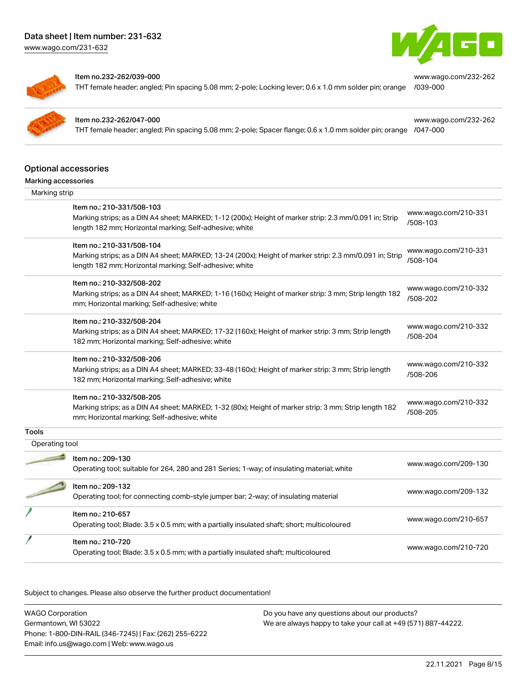[www.wago.com/231-632](http://www.wago.com/231-632)



[www.wago.com/232-262](https://www.wago.com/232-262/039-000)

[www.wago.com/232-262](https://www.wago.com/232-262/047-000)



#### Item no.232-262/039-000

THT female header; angled; Pin spacing 5.08 mm; 2-pole; Locking lever; 0.6 x 1.0 mm solder pin; orange [/039-000](https://www.wago.com/232-262/039-000)

#### Item no.232-262/047-000

THT female header; angled; Pin spacing 5.08 mm; 2-pole; Spacer flange; 0.6 x 1.0 mm solder pin; orange [/047-000](https://www.wago.com/232-262/047-000)

Optional accessories

# Marking accessories

| Marking strip  |                                                                                                                                                                                                 |                                  |
|----------------|-------------------------------------------------------------------------------------------------------------------------------------------------------------------------------------------------|----------------------------------|
|                | Item no.: 210-331/508-103<br>Marking strips; as a DIN A4 sheet; MARKED; 1-12 (200x); Height of marker strip: 2.3 mm/0.091 in; Strip<br>length 182 mm; Horizontal marking; Self-adhesive; white  | www.wago.com/210-331<br>/508-103 |
|                | Item no.: 210-331/508-104<br>Marking strips; as a DIN A4 sheet; MARKED; 13-24 (200x); Height of marker strip: 2.3 mm/0.091 in; Strip<br>length 182 mm; Horizontal marking; Self-adhesive; white | www.wago.com/210-331<br>/508-104 |
|                | Item no.: 210-332/508-202<br>Marking strips; as a DIN A4 sheet; MARKED; 1-16 (160x); Height of marker strip: 3 mm; Strip length 182<br>mm; Horizontal marking; Self-adhesive; white             | www.wago.com/210-332<br>/508-202 |
|                | Item no.: 210-332/508-204<br>Marking strips; as a DIN A4 sheet; MARKED; 17-32 (160x); Height of marker strip: 3 mm; Strip length<br>182 mm; Horizontal marking; Self-adhesive; white            | www.wago.com/210-332<br>/508-204 |
|                | Item no.: 210-332/508-206<br>Marking strips; as a DIN A4 sheet; MARKED; 33-48 (160x); Height of marker strip: 3 mm; Strip length<br>182 mm; Horizontal marking; Self-adhesive; white            | www.wago.com/210-332<br>/508-206 |
|                | Item no.: 210-332/508-205<br>Marking strips; as a DIN A4 sheet; MARKED; 1-32 (80x); Height of marker strip: 3 mm; Strip length 182<br>mm; Horizontal marking; Self-adhesive; white              | www.wago.com/210-332<br>/508-205 |
| <b>Tools</b>   |                                                                                                                                                                                                 |                                  |
| Operating tool |                                                                                                                                                                                                 |                                  |
|                | Item no.: 209-130<br>Operating tool; suitable for 264, 280 and 281 Series; 1-way; of insulating material; white                                                                                 | www.wago.com/209-130             |
|                | Item no.: 209-132<br>Operating tool; for connecting comb-style jumper bar; 2-way; of insulating material                                                                                        | www.wago.com/209-132             |
|                | Item no.: 210-657<br>Operating tool; Blade: 3.5 x 0.5 mm; with a partially insulated shaft; short; multicoloured                                                                                | www.wago.com/210-657             |
|                | Item no.: 210-720<br>Operating tool; Blade: 3.5 x 0.5 mm; with a partially insulated shaft; multicoloured                                                                                       | www.wago.com/210-720             |
|                |                                                                                                                                                                                                 |                                  |

Subject to changes. Please also observe the further product documentation!

WAGO Corporation Germantown, WI 53022 Phone: 1-800-DIN-RAIL (346-7245) | Fax: (262) 255-6222 Email: info.us@wago.com | Web: www.wago.us Do you have any questions about our products? We are always happy to take your call at +49 (571) 887-44222.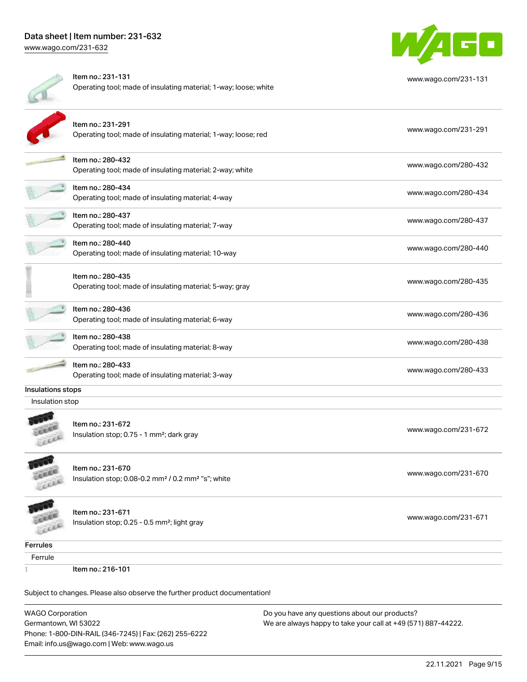# Data sheet | Item number: 231-632 [www.wago.com/231-632](http://www.wago.com/231-632)

Item no.: 231-131 Operating tool; made of insulating material; 1-way; loose; white [www.wago.com/231-131](http://www.wago.com/231-131) Item no.: 231-291 Operating tool; made of insulating material; 1-way; loose; red [www.wago.com/231-291](http://www.wago.com/231-291) Item no.: 280-432 ntem no... 200 402<br>Operating tool; made of insulating material; 2-way; white [www.wago.com/280-432](http://www.wago.com/280-432) Item no.: 280-434 ntem no... 200 404<br>Operating tool; made of insulating material; 4-way [www.wago.com/280-434](http://www.wago.com/280-434) Item no.: 280-437 ntem no... 200 407<br>Operating tool; made of insulating material; 7-way [www.wago.com/280-437](http://www.wago.com/280-437) Item no.: 280-440 Operating tool; made of insulating material; 10-way [www.wago.com/280-440](http://www.wago.com/280-440) Item no.: 280-435 Operating tool; made of insulating material; 5-way; gray [www.wago.com/280-435](http://www.wago.com/280-435) Next the second top [www.wago.com/280-436](http://www.wago.com/280-436)<br>Operating tool; made of insulating material; 6-way www.wago.com/280-436 Next the second top [www.wago.com/280-438](http://www.wago.com/280-438)<br>Operating tool; made of insulating material; 8-way www.wago.com/280-438 Next the second top [www.wago.com/280-433](http://www.wago.com/280-433)<br>Operating tool; made of insulating material; 3-way www.wago.com/280-433 Insulation stop; 0.75 - 1 mm<sup>2</sup>; dark gray [www.wago.com/231-672](http://www.wago.com/231-672) www.wago.com/231-672 Insulation stop; 0.08-0.2 mm<sup>2</sup> / 0.2 mm<sup>2</sup> "s"; white [www.wago.com/231-670](http://www.wago.com/231-670) www.wago.com/231-670

Subject to changes. Please also observe the further product documentation!

WAGO Corporation Germantown, WI 53022 Phone: 1-800-DIN-RAIL (346-7245) | Fax: (262) 255-6222 Email: info.us@wago.com | Web: www.wago.us





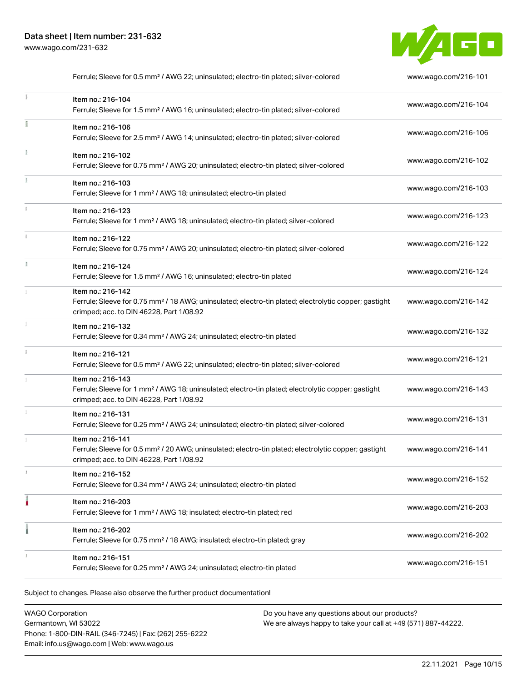

|    | Ferrule; Sleeve for 0.5 mm <sup>2</sup> / AWG 22; uninsulated; electro-tin plated; silver-colored                                                                                  | www.wago.com/216-101 |
|----|------------------------------------------------------------------------------------------------------------------------------------------------------------------------------------|----------------------|
|    | Item no.: 216-104<br>Ferrule; Sleeve for 1.5 mm <sup>2</sup> / AWG 16; uninsulated; electro-tin plated; silver-colored                                                             | www.wago.com/216-104 |
|    | Item no.: 216-106<br>Ferrule; Sleeve for 2.5 mm <sup>2</sup> / AWG 14; uninsulated; electro-tin plated; silver-colored                                                             | www.wago.com/216-106 |
| ž. | Item no.: 216-102<br>Ferrule; Sleeve for 0.75 mm <sup>2</sup> / AWG 20; uninsulated; electro-tin plated; silver-colored                                                            | www.wago.com/216-102 |
|    | Item no.: 216-103<br>Ferrule; Sleeve for 1 mm <sup>2</sup> / AWG 18; uninsulated; electro-tin plated                                                                               | www.wago.com/216-103 |
|    | Item no.: 216-123<br>Ferrule; Sleeve for 1 mm <sup>2</sup> / AWG 18; uninsulated; electro-tin plated; silver-colored                                                               | www.wago.com/216-123 |
|    | Item no.: 216-122<br>Ferrule; Sleeve for 0.75 mm <sup>2</sup> / AWG 20; uninsulated; electro-tin plated; silver-colored                                                            | www.wago.com/216-122 |
|    | Item no.: 216-124<br>Ferrule; Sleeve for 1.5 mm <sup>2</sup> / AWG 16; uninsulated; electro-tin plated                                                                             | www.wago.com/216-124 |
|    | Item no.: 216-142<br>Ferrule; Sleeve for 0.75 mm <sup>2</sup> / 18 AWG; uninsulated; electro-tin plated; electrolytic copper; gastight<br>crimped; acc. to DIN 46228, Part 1/08.92 | www.wago.com/216-142 |
|    | Item no.: 216-132<br>Ferrule; Sleeve for 0.34 mm <sup>2</sup> / AWG 24; uninsulated; electro-tin plated                                                                            | www.wago.com/216-132 |
|    | Item no.: 216-121<br>Ferrule; Sleeve for 0.5 mm <sup>2</sup> / AWG 22; uninsulated; electro-tin plated; silver-colored                                                             | www.wago.com/216-121 |
|    | Item no.: 216-143<br>Ferrule; Sleeve for 1 mm <sup>2</sup> / AWG 18; uninsulated; electro-tin plated; electrolytic copper; gastight<br>crimped; acc. to DIN 46228, Part 1/08.92    | www.wago.com/216-143 |
| I. | Item no.: 216-131<br>Ferrule; Sleeve for 0.25 mm <sup>2</sup> / AWG 24; uninsulated; electro-tin plated; silver-colored                                                            | www.wago.com/216-131 |
|    | Item no.: 216-141<br>Ferrule; Sleeve for 0.5 mm <sup>2</sup> / 20 AWG; uninsulated; electro-tin plated; electrolytic copper; gastight<br>crimped; acc. to DIN 46228, Part 1/08.92  | www.wago.com/216-141 |
|    | Item no.: 216-152<br>Ferrule; Sleeve for 0.34 mm <sup>2</sup> / AWG 24; uninsulated; electro-tin plated                                                                            | www.wago.com/216-152 |
|    | Item no.: 216-203<br>Ferrule; Sleeve for 1 mm <sup>2</sup> / AWG 18; insulated; electro-tin plated; red                                                                            | www.wago.com/216-203 |
|    | Item no.: 216-202<br>Ferrule; Sleeve for 0.75 mm <sup>2</sup> / 18 AWG; insulated; electro-tin plated; gray                                                                        | www.wago.com/216-202 |
|    | Item no.: 216-151<br>Ferrule; Sleeve for 0.25 mm <sup>2</sup> / AWG 24; uninsulated; electro-tin plated                                                                            | www.wago.com/216-151 |
|    |                                                                                                                                                                                    |                      |

Subject to changes. Please also observe the further product documentation!

WAGO Corporation Germantown, WI 53022 Phone: 1-800-DIN-RAIL (346-7245) | Fax: (262) 255-6222 Email: info.us@wago.com | Web: www.wago.us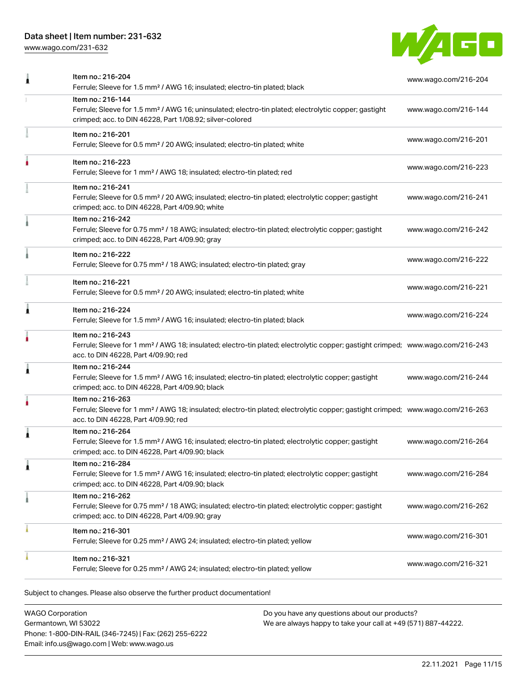[www.wago.com/231-632](http://www.wago.com/231-632)



| Item no.: 216-204<br>Ferrule; Sleeve for 1.5 mm <sup>2</sup> / AWG 16; insulated; electro-tin plated; black                                                                                             | www.wago.com/216-204 |
|---------------------------------------------------------------------------------------------------------------------------------------------------------------------------------------------------------|----------------------|
| Item no.: 216-144<br>Ferrule; Sleeve for 1.5 mm <sup>2</sup> / AWG 16; uninsulated; electro-tin plated; electrolytic copper; gastight<br>crimped; acc. to DIN 46228, Part 1/08.92; silver-colored       | www.wago.com/216-144 |
| Item no.: 216-201<br>Ferrule; Sleeve for 0.5 mm <sup>2</sup> / 20 AWG; insulated; electro-tin plated; white                                                                                             | www.wago.com/216-201 |
| Item no.: 216-223<br>Ferrule; Sleeve for 1 mm <sup>2</sup> / AWG 18; insulated; electro-tin plated; red                                                                                                 | www.wago.com/216-223 |
| Item no.: 216-241<br>Ferrule; Sleeve for 0.5 mm <sup>2</sup> / 20 AWG; insulated; electro-tin plated; electrolytic copper; gastight<br>crimped; acc. to DIN 46228, Part 4/09.90; white                  | www.wago.com/216-241 |
| Item no.: 216-242<br>Ferrule; Sleeve for 0.75 mm <sup>2</sup> / 18 AWG; insulated; electro-tin plated; electrolytic copper; gastight<br>crimped; acc. to DIN 46228, Part 4/09.90; gray                  | www.wago.com/216-242 |
| Item no.: 216-222<br>Ferrule; Sleeve for 0.75 mm <sup>2</sup> / 18 AWG; insulated; electro-tin plated; gray                                                                                             | www.wago.com/216-222 |
| Item no.: 216-221<br>Ferrule; Sleeve for 0.5 mm <sup>2</sup> / 20 AWG; insulated; electro-tin plated; white                                                                                             | www.wago.com/216-221 |
| Item no.: 216-224<br>Ferrule; Sleeve for 1.5 mm <sup>2</sup> / AWG 16; insulated; electro-tin plated; black                                                                                             | www.wago.com/216-224 |
| Item no.: 216-243<br>Ferrule; Sleeve for 1 mm <sup>2</sup> / AWG 18; insulated; electro-tin plated; electrolytic copper; gastight crimped; www.wago.com/216-243<br>acc. to DIN 46228, Part 4/09.90; red |                      |
| Item no.: 216-244<br>Ferrule; Sleeve for 1.5 mm <sup>2</sup> / AWG 16; insulated; electro-tin plated; electrolytic copper; gastight<br>crimped; acc. to DIN 46228, Part 4/09.90; black                  | www.wago.com/216-244 |
| Item no.: 216-263<br>Ferrule; Sleeve for 1 mm <sup>2</sup> / AWG 18; insulated; electro-tin plated; electrolytic copper; gastight crimped; www.wago.com/216-263<br>acc. to DIN 46228, Part 4/09.90; red |                      |
| Item no.: 216-264<br>Ferrule; Sleeve for 1.5 mm <sup>2</sup> / AWG 16; insulated; electro-tin plated; electrolytic copper; gastight<br>crimped; acc. to DIN 46228, Part 4/09.90; black                  | www.wago.com/216-264 |
| Item no.: 216-284<br>Ferrule; Sleeve for 1.5 mm <sup>2</sup> / AWG 16; insulated; electro-tin plated; electrolytic copper; gastight<br>crimped; acc. to DIN 46228, Part 4/09.90; black                  | www.wago.com/216-284 |
| Item no.: 216-262<br>Ferrule; Sleeve for 0.75 mm <sup>2</sup> / 18 AWG; insulated; electro-tin plated; electrolytic copper; gastight<br>crimped; acc. to DIN 46228, Part 4/09.90; gray                  | www.wago.com/216-262 |
| Item no.: 216-301<br>Ferrule; Sleeve for 0.25 mm <sup>2</sup> / AWG 24; insulated; electro-tin plated; yellow                                                                                           | www.wago.com/216-301 |
| Item no.: 216-321<br>Ferrule; Sleeve for 0.25 mm <sup>2</sup> / AWG 24; insulated; electro-tin plated; yellow                                                                                           | www.wago.com/216-321 |
|                                                                                                                                                                                                         |                      |

Subject to changes. Please also observe the further product documentation!

WAGO Corporation Germantown, WI 53022 Phone: 1-800-DIN-RAIL (346-7245) | Fax: (262) 255-6222 Email: info.us@wago.com | Web: www.wago.us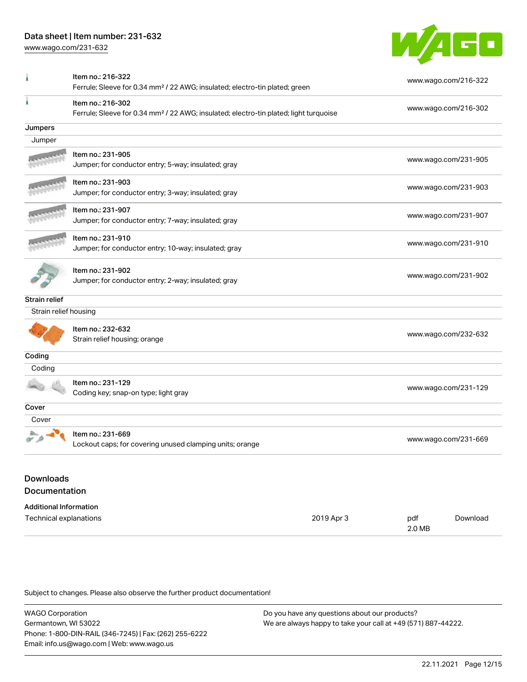[www.wago.com/231-632](http://www.wago.com/231-632)



|                                                         | Item no.: 216-322<br>Ferrule; Sleeve for 0.34 mm <sup>2</sup> / 22 AWG; insulated; electro-tin plated; green           |            |     | www.wago.com/216-322 |
|---------------------------------------------------------|------------------------------------------------------------------------------------------------------------------------|------------|-----|----------------------|
| ۸                                                       | Item no.: 216-302<br>Ferrule; Sleeve for 0.34 mm <sup>2</sup> / 22 AWG; insulated; electro-tin plated; light turquoise |            |     | www.wago.com/216-302 |
| Jumpers                                                 |                                                                                                                        |            |     |                      |
| Jumper                                                  |                                                                                                                        |            |     |                      |
|                                                         | Item no.: 231-905<br>Jumper; for conductor entry; 5-way; insulated; gray                                               |            |     | www.wago.com/231-905 |
|                                                         | Item no.: 231-903<br>Jumper; for conductor entry; 3-way; insulated; gray                                               |            |     | www.wago.com/231-903 |
|                                                         | Item no.: 231-907<br>Jumper; for conductor entry; 7-way; insulated; gray                                               |            |     | www.wago.com/231-907 |
|                                                         | Item no.: 231-910<br>Jumper; for conductor entry; 10-way; insulated; gray                                              |            |     | www.wago.com/231-910 |
|                                                         | Item no.: 231-902<br>Jumper; for conductor entry; 2-way; insulated; gray                                               |            |     | www.wago.com/231-902 |
| <b>Strain relief</b>                                    |                                                                                                                        |            |     |                      |
| Strain relief housing                                   |                                                                                                                        |            |     |                      |
|                                                         | Item no.: 232-632<br>Strain relief housing; orange                                                                     |            |     | www.wago.com/232-632 |
| Coding                                                  |                                                                                                                        |            |     |                      |
| Coding                                                  |                                                                                                                        |            |     |                      |
|                                                         | Item no.: 231-129<br>Coding key; snap-on type; light gray                                                              |            |     | www.wago.com/231-129 |
| Cover                                                   |                                                                                                                        |            |     |                      |
| Cover                                                   |                                                                                                                        |            |     |                      |
|                                                         | Item no.: 231-669<br>Lockout caps; for covering unused clamping units; orange                                          |            |     | www.wago.com/231-669 |
| <b>Downloads</b><br><b>Documentation</b>                |                                                                                                                        |            |     |                      |
|                                                         |                                                                                                                        |            |     |                      |
| <b>Additional Information</b><br>Technical explanations |                                                                                                                        | 2019 Apr 3 | pdf | Download             |

Subject to changes. Please also observe the further product documentation!

WAGO Corporation Germantown, WI 53022 Phone: 1-800-DIN-RAIL (346-7245) | Fax: (262) 255-6222 Email: info.us@wago.com | Web: www.wago.us Do you have any questions about our products? We are always happy to take your call at +49 (571) 887-44222.

2.0 MB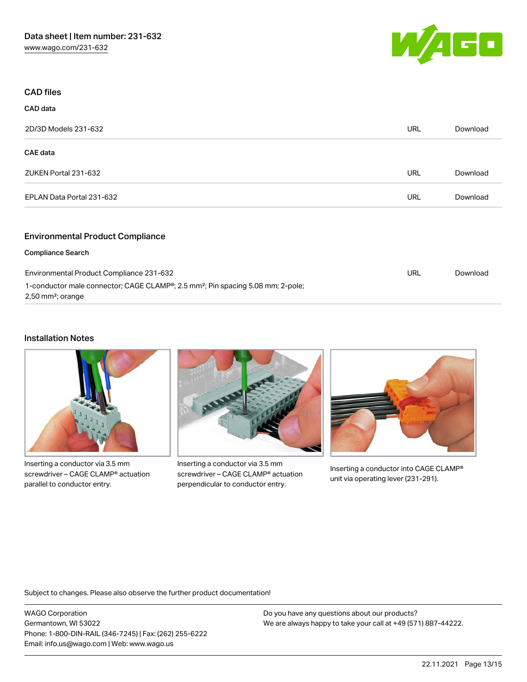

| <b>CAD files</b>                        |            |          |
|-----------------------------------------|------------|----------|
| <b>CAD</b> data                         |            |          |
| 2D/3D Models 231-632                    | <b>URL</b> | Download |
| <b>CAE</b> data                         |            |          |
| ZUKEN Portal 231-632                    | <b>URL</b> | Download |
| EPLAN Data Portal 231-632               | <b>URL</b> | Download |
| <b>Environmental Product Compliance</b> |            |          |

#### Compliance Search

| Environmental Product Compliance 231-632                                                                                                  | URL | Download |
|-------------------------------------------------------------------------------------------------------------------------------------------|-----|----------|
| 1-conductor male connector; CAGE CLAMP <sup>®</sup> ; 2.5 mm <sup>2</sup> ; Pin spacing 5.08 mm; 2-pole;<br>2,50 mm <sup>2</sup> ; orange |     |          |

# Installation Notes



Inserting a conductor via 3.5 mm screwdriver – CAGE CLAMP® actuation parallel to conductor entry.



Inserting a conductor via 3.5 mm screwdriver – CAGE CLAMP® actuation perpendicular to conductor entry.



Inserting a conductor into CAGE CLAMP® unit via operating lever (231-291).

Subject to changes. Please also observe the further product documentation!

WAGO Corporation Germantown, WI 53022 Phone: 1-800-DIN-RAIL (346-7245) | Fax: (262) 255-6222 Email: info.us@wago.com | Web: www.wago.us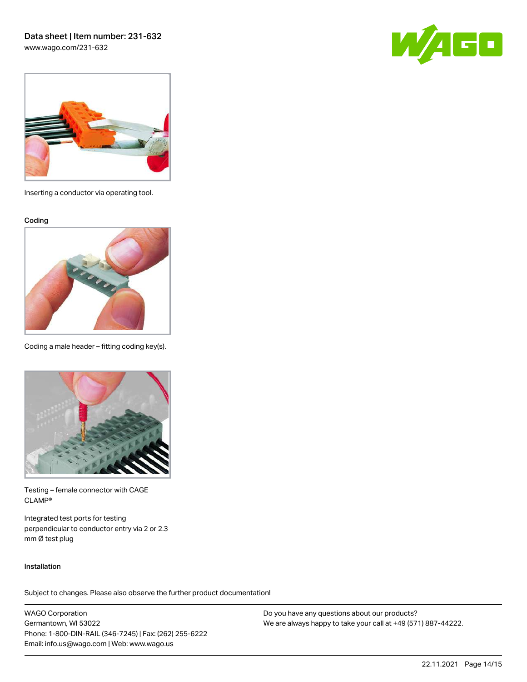[www.wago.com/231-632](http://www.wago.com/231-632)





Inserting a conductor via operating tool.

Coding



Coding a male header – fitting coding key(s).



Testing – female connector with CAGE CLAMP®

Integrated test ports for testing perpendicular to conductor entry via 2 or 2.3 mm Ø test plug

#### Installation

Subject to changes. Please also observe the further product documentation!

WAGO Corporation Germantown, WI 53022 Phone: 1-800-DIN-RAIL (346-7245) | Fax: (262) 255-6222 Email: info.us@wago.com | Web: www.wago.us